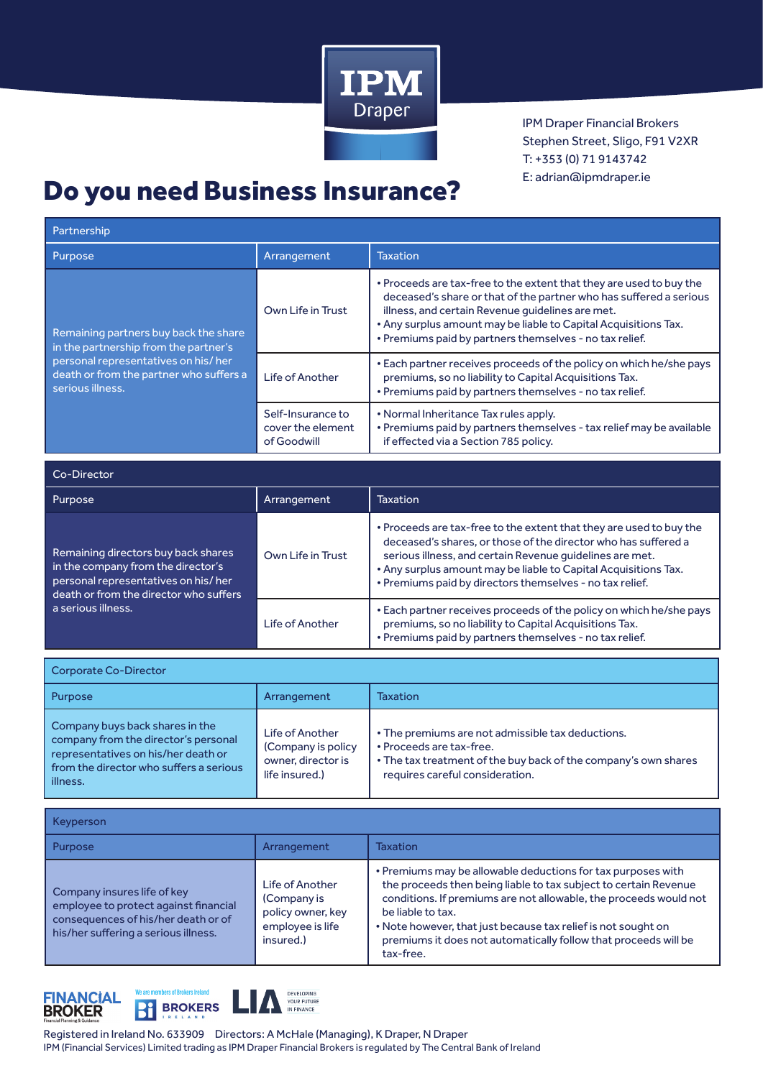

IPM Draper Financial Brokers Stephen Street, Sligo, F91 V2XR T: +353 (0) 71 9143742 E: adrian@ipmdraper.ie

## Do you need Business Insurance?

| Partnership                                                                                                                                                                          |                                                       |                                                                                                                                                                                                                                                                                                                             |  |  |
|--------------------------------------------------------------------------------------------------------------------------------------------------------------------------------------|-------------------------------------------------------|-----------------------------------------------------------------------------------------------------------------------------------------------------------------------------------------------------------------------------------------------------------------------------------------------------------------------------|--|--|
| Purpose                                                                                                                                                                              | Arrangement                                           | <b>Taxation</b>                                                                                                                                                                                                                                                                                                             |  |  |
| Remaining partners buy back the share<br>in the partnership from the partner's<br>personal representatives on his/her<br>death or from the partner who suffers a<br>serious illness. | Own Life in Trust                                     | • Proceeds are tax-free to the extent that they are used to buy the<br>deceased's share or that of the partner who has suffered a serious<br>illness, and certain Revenue guidelines are met.<br>• Any surplus amount may be liable to Capital Acquisitions Tax.<br>. Premiums paid by partners themselves - no tax relief. |  |  |
|                                                                                                                                                                                      | <b>Life of Another</b>                                | • Each partner receives proceeds of the policy on which he/she pays<br>premiums, so no liability to Capital Acquisitions Tax.<br>. Premiums paid by partners themselves - no tax relief.                                                                                                                                    |  |  |
|                                                                                                                                                                                      | Self-Insurance to<br>cover the element<br>of Goodwill | • Normal Inheritance Tax rules apply.<br>• Premiums paid by partners themselves - tax relief may be available<br>if effected via a Section 785 policy.                                                                                                                                                                      |  |  |

| Co-Director                                                                                                                                                                      |                   |                                                                                                                                                                                                                                                                                                                                  |  |  |
|----------------------------------------------------------------------------------------------------------------------------------------------------------------------------------|-------------------|----------------------------------------------------------------------------------------------------------------------------------------------------------------------------------------------------------------------------------------------------------------------------------------------------------------------------------|--|--|
| Purpose                                                                                                                                                                          | Arrangement       | Taxation                                                                                                                                                                                                                                                                                                                         |  |  |
| Remaining directors buy back shares<br>in the company from the director's<br>personal representatives on his/her<br>death or from the director who suffers<br>a serious illness. | Own Life in Trust | • Proceeds are tax-free to the extent that they are used to buy the<br>deceased's shares, or those of the director who has suffered a<br>serious illness, and certain Revenue guidelines are met.<br>. Any surplus amount may be liable to Capital Acquisitions Tax.<br>. Premiums paid by directors themselves - no tax relief. |  |  |
|                                                                                                                                                                                  | Life of Another   | • Each partner receives proceeds of the policy on which he/she pays<br>premiums, so no liability to Capital Acquisitions Tax.<br>. Premiums paid by partners themselves - no tax relief.                                                                                                                                         |  |  |

| Corporate Co-Director                                                                                                                                                 |                                                                               |                                                                                                                                                                                     |  |  |  |
|-----------------------------------------------------------------------------------------------------------------------------------------------------------------------|-------------------------------------------------------------------------------|-------------------------------------------------------------------------------------------------------------------------------------------------------------------------------------|--|--|--|
| Purpose                                                                                                                                                               | Arrangement                                                                   | <b>Taxation</b>                                                                                                                                                                     |  |  |  |
| Company buys back shares in the<br>company from the director's personal<br>representatives on his/her death or<br>from the director who suffers a serious<br>illness. | Life of Another<br>(Company is policy<br>owner, director is<br>life insured.) | • The premiums are not admissible tax deductions.<br>• Proceeds are tax-free.<br>• The tax treatment of the buy back of the company's own shares<br>requires careful consideration. |  |  |  |

| Keyperson                                                                                                                                           |                                                                                      |                                                                                                                                                                                                                                                                                                                                                                             |  |  |
|-----------------------------------------------------------------------------------------------------------------------------------------------------|--------------------------------------------------------------------------------------|-----------------------------------------------------------------------------------------------------------------------------------------------------------------------------------------------------------------------------------------------------------------------------------------------------------------------------------------------------------------------------|--|--|
| Purpose                                                                                                                                             | Arrangement                                                                          | <b>Taxation</b>                                                                                                                                                                                                                                                                                                                                                             |  |  |
| Company insures life of key<br>employee to protect against financial<br>consequences of his/her death or of<br>his/her suffering a serious illness. | Life of Another<br>(Company is<br>policy owner, key<br>employee is life<br>insured.) | • Premiums may be allowable deductions for tax purposes with<br>the proceeds then being liable to tax subject to certain Revenue<br>conditions. If premiums are not allowable, the proceeds would not<br>be liable to tax.<br>• Note however, that just because tax relief is not sought on<br>premiums it does not automatically follow that proceeds will be<br>tax-free. |  |  |



Registered in Ireland No. 633909 Directors: A McHale (Managing), K Draper, N Draper IPM (Financial Services) Limited trading as IPM Draper Financial Brokers is regulated by The Central Bank of Ireland